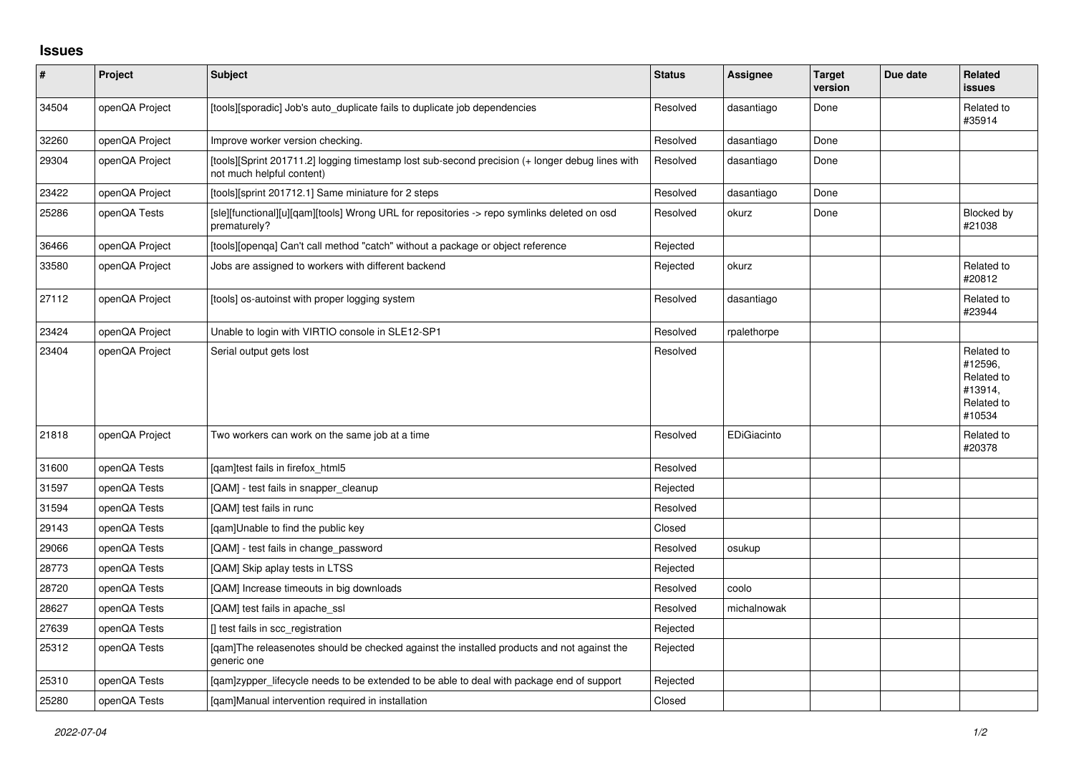## **Issues**

| $\vert$ # | Project        | <b>Subject</b>                                                                                                               | <b>Status</b> | Assignee    | <b>Target</b><br>version | Due date | Related<br>issues                                                      |
|-----------|----------------|------------------------------------------------------------------------------------------------------------------------------|---------------|-------------|--------------------------|----------|------------------------------------------------------------------------|
| 34504     | openQA Project | [tools][sporadic] Job's auto_duplicate fails to duplicate job dependencies                                                   | Resolved      | dasantiago  | Done                     |          | Related to<br>#35914                                                   |
| 32260     | openQA Project | Improve worker version checking.                                                                                             | Resolved      | dasantiago  | Done                     |          |                                                                        |
| 29304     | openQA Project | [tools][Sprint 201711.2] logging timestamp lost sub-second precision (+ longer debug lines with<br>not much helpful content) | Resolved      | dasantiago  | Done                     |          |                                                                        |
| 23422     | openQA Project | [tools][sprint 201712.1] Same miniature for 2 steps                                                                          | Resolved      | dasantiago  | Done                     |          |                                                                        |
| 25286     | openQA Tests   | [sle][functional][u][qam][tools] Wrong URL for repositories -> repo symlinks deleted on osd<br>prematurely?                  | Resolved      | okurz       | Done                     |          | Blocked by<br>#21038                                                   |
| 36466     | openQA Project | [tools][openqa] Can't call method "catch" without a package or object reference                                              | Rejected      |             |                          |          |                                                                        |
| 33580     | openQA Project | Jobs are assigned to workers with different backend                                                                          | Rejected      | okurz       |                          |          | Related to<br>#20812                                                   |
| 27112     | openQA Project | [tools] os-autoinst with proper logging system                                                                               | Resolved      | dasantiago  |                          |          | Related to<br>#23944                                                   |
| 23424     | openQA Project | Unable to login with VIRTIO console in SLE12-SP1                                                                             | Resolved      | rpalethorpe |                          |          |                                                                        |
| 23404     | openQA Project | Serial output gets lost                                                                                                      | Resolved      |             |                          |          | Related to<br>#12596.<br>Related to<br>#13914,<br>Related to<br>#10534 |
| 21818     | openQA Project | Two workers can work on the same job at a time                                                                               | Resolved      | EDiGiacinto |                          |          | Related to<br>#20378                                                   |
| 31600     | openQA Tests   | [gam]test fails in firefox html5                                                                                             | Resolved      |             |                          |          |                                                                        |
| 31597     | openQA Tests   | [QAM] - test fails in snapper_cleanup                                                                                        | Rejected      |             |                          |          |                                                                        |
| 31594     | openQA Tests   | [QAM] test fails in runc                                                                                                     | Resolved      |             |                          |          |                                                                        |
| 29143     | openQA Tests   | [gam]Unable to find the public key                                                                                           | Closed        |             |                          |          |                                                                        |
| 29066     | openQA Tests   | [QAM] - test fails in change password                                                                                        | Resolved      | osukup      |                          |          |                                                                        |
| 28773     | openQA Tests   | [QAM] Skip aplay tests in LTSS                                                                                               | Rejected      |             |                          |          |                                                                        |
| 28720     | openQA Tests   | [QAM] Increase timeouts in big downloads                                                                                     | Resolved      | coolo       |                          |          |                                                                        |
| 28627     | openQA Tests   | [QAM] test fails in apache ssl                                                                                               | Resolved      | michalnowak |                          |          |                                                                        |
| 27639     | openQA Tests   | [] test fails in scc_registration                                                                                            | Rejected      |             |                          |          |                                                                        |
| 25312     | openQA Tests   | [qam]The releasenotes should be checked against the installed products and not against the<br>generic one                    | Rejected      |             |                          |          |                                                                        |
| 25310     | openQA Tests   | [qam]zypper_lifecycle needs to be extended to be able to deal with package end of support                                    | Rejected      |             |                          |          |                                                                        |
| 25280     | openQA Tests   | [gam]Manual intervention required in installation                                                                            | Closed        |             |                          |          |                                                                        |